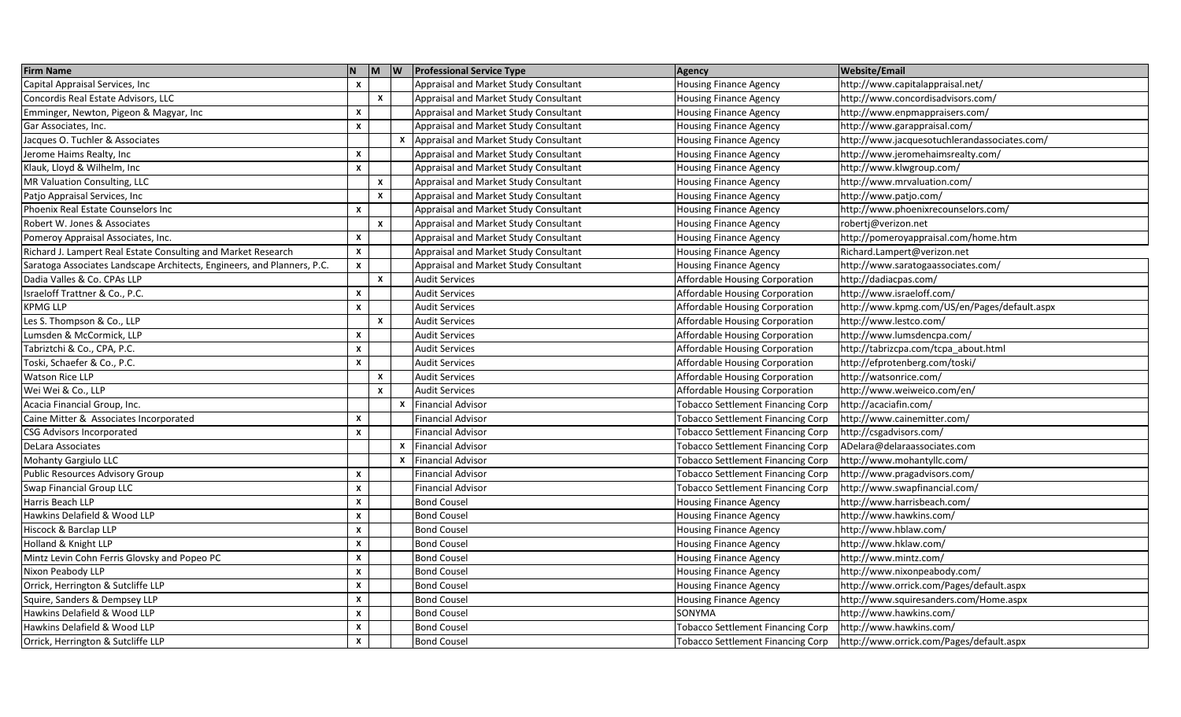| <b>Firm Name</b>                                                        | N                         |              |   | $\mathbf{M}$ $\mathbf{W}$ Professional Service Type | <b>Agency</b>                            | <b>Website/Email</b>                         |
|-------------------------------------------------------------------------|---------------------------|--------------|---|-----------------------------------------------------|------------------------------------------|----------------------------------------------|
| Capital Appraisal Services, Inc                                         | $\mathsf{x}$              |              |   | Appraisal and Market Study Consultant               | <b>Housing Finance Agency</b>            | http://www.capitalappraisal.net/             |
| Concordis Real Estate Advisors, LLC                                     |                           | <b>X</b>     |   | Appraisal and Market Study Consultant               | Housing Finance Agency                   | ttp://www.concordisadvisors.com/             |
| Emminger, Newton, Pigeon & Magyar, Inc                                  | $\boldsymbol{\mathsf{x}}$ |              |   | Appraisal and Market Study Consultant               | <b>Housing Finance Agency</b>            | /http://www.enpmappraisers.com               |
| Gar Associates, Inc.                                                    | $\mathbf{x}$              |              |   | Appraisal and Market Study Consultant               | <b>Housing Finance Agency</b>            | http://www.garappraisal.com/                 |
| Jacques O. Tuchler & Associates                                         |                           |              |   | Appraisal and Market Study Consultant               | <b>Housing Finance Agency</b>            | http://www.jacquesotuchlerandassociates.com/ |
| Jerome Haims Realty, Inc                                                | $\mathsf{x}$              |              |   | Appraisal and Market Study Consultant               | <b>Housing Finance Agency</b>            | http://www.jeromehaimsrealty.com/            |
| Klauk, Lloyd & Wilhelm, Inc                                             | $\mathbf{x}$              |              |   | Appraisal and Market Study Consultant               | <b>Housing Finance Agency</b>            | http://www.klwgroup.com/                     |
| MR Valuation Consulting, LLC                                            |                           | $\mathbf{x}$ |   | Appraisal and Market Study Consultant               | <b>Housing Finance Agency</b>            | http://www.mrvaluation.com/                  |
| Patjo Appraisal Services, Inc                                           |                           | X            |   | Appraisal and Market Study Consultant               | <b>Housing Finance Agency</b>            | http://www.patjo.com/                        |
| Phoenix Real Estate Counselors Inc                                      | $\mathsf{x}$              |              |   | Appraisal and Market Study Consultant               | <b>Housing Finance Agency</b>            | http://www.phoenixrecounselors.com/          |
| Robert W. Jones & Associates                                            |                           | <b>X</b>     |   | Appraisal and Market Study Consultant               | <b>Housing Finance Agency</b>            | robertj@verizon.net                          |
| Pomeroy Appraisal Associates, Inc.                                      | $\mathbf{x}$              |              |   | Appraisal and Market Study Consultant               | <b>Housing Finance Agency</b>            | http://pomeroyappraisal.com/home.htm         |
| Richard J. Lampert Real Estate Consulting and Market Research           | X                         |              |   | Appraisal and Market Study Consultant               | <b>Housing Finance Agency</b>            | Richard.Lampert@verizon.net                  |
| Saratoga Associates Landscape Architects, Engineers, and Planners, P.C. | $\boldsymbol{\mathsf{x}}$ |              |   | Appraisal and Market Study Consultant               | <b>Housing Finance Agency</b>            | http://www.saratogaassociates.com/           |
| Dadia Valles & Co. CPAs LLP                                             |                           | $\mathsf{x}$ |   | <b>Audit Services</b>                               | Affordable Housing Corporation           | http://dadiacpas.com/                        |
| Israeloff Trattner & Co., P.C.                                          | $\mathsf{x}$              |              |   | <b>Audit Services</b>                               | Affordable Housing Corporation           | http://www.israeloff.com/                    |
| <b>KPMG LLP</b>                                                         | X                         |              |   | <b>Audit Services</b>                               | Affordable Housing Corporation           | http://www.kpmg.com/US/en/Pages/default.aspx |
| Les S. Thompson & Co., LLP                                              |                           | X            |   | <b>Audit Services</b>                               | Affordable Housing Corporation           | http://www.lestco.com/                       |
| Lumsden & McCormick, LLP                                                | x                         |              |   | <b>Audit Services</b>                               | Affordable Housing Corporation           | http://www.lumsdencpa.com/                   |
| Tabriztchi & Co., CPA, P.C.                                             | X                         |              |   | <b>Audit Services</b>                               | Affordable Housing Corporation           | http://tabrizcpa.com/tcpa_about.html         |
| Toski, Schaefer & Co., P.C.                                             | $\mathbf{x}$              |              |   | <b>Audit Services</b>                               | Affordable Housing Corporation           | http://efprotenberg.com/toski/               |
| <b>Watson Rice LLP</b>                                                  |                           | x            |   | <b>Audit Services</b>                               | Affordable Housing Corporation           | http://watsonrice.com/                       |
| Wei Wei & Co., LLP                                                      |                           | $\mathbf{x}$ |   | <b>Audit Services</b>                               | Affordable Housing Corporation           | http://www.weiweico.com/en/                  |
| Acacia Financial Group, Inc.                                            |                           |              |   | x Financial Advisor                                 | <b>Tobacco Settlement Financing Corp</b> | http://acaciafin.com/                        |
| Caine Mitter & Associates Incorporated                                  | $\mathsf{x}$              |              |   | <b>Financial Advisor</b>                            | <b>Tobacco Settlement Financing Corp</b> | http://www.cainemitter.com/                  |
| <b>CSG Advisors Incorporated</b>                                        | $\boldsymbol{x}$          |              |   | <b>Financial Advisor</b>                            | <b>Tobacco Settlement Financing Corp</b> | http://csgadvisors.com/                      |
| DeLara Associates                                                       |                           |              |   | x Financial Advisor                                 | <b>Tobacco Settlement Financing Corp</b> | ADelara@delaraassociates.com                 |
| <b>Mohanty Gargiulo LLC</b>                                             |                           |              | x | <b>Financial Advisor</b>                            | <b>Tobacco Settlement Financing Corp</b> | http://www.mohantyllc.com/                   |
| <b>Public Resources Advisory Group</b>                                  | X                         |              |   | <b>Financial Advisor</b>                            | <b>Tobacco Settlement Financing Corp</b> | http://www.pragadvisors.com/                 |
| Swap Financial Group LLC                                                | $\mathbf{x}$              |              |   | <b>Financial Advisor</b>                            | <b>Tobacco Settlement Financing Corp</b> | http://www.swapfinancial.com/                |
| Harris Beach LLP                                                        | $\mathbf{x}$              |              |   | <b>Bond Cousel</b>                                  | <b>Housing Finance Agency</b>            | http://www.harrisbeach.com/                  |
| Hawkins Delafield & Wood LLP                                            | $\mathbf{x}$              |              |   | <b>Bond Cousel</b>                                  | <b>Housing Finance Agency</b>            | //www.hawkins.com/                           |
| Hiscock & Barclap LLP                                                   | $\mathbf{x}$              |              |   | <b>Bond Cousel</b>                                  | <b>Housing Finance Agency</b>            | http://www.hblaw.com/                        |
| Holland & Knight LLP                                                    | $\mathsf{x}$              |              |   | <b>Bond Cousel</b>                                  | <b>Housing Finance Agency</b>            | nttp://www.hklaw.com/                        |
| Mintz Levin Cohn Ferris Glovsky and Popeo PC                            | x                         |              |   | <b>Bond Cousel</b>                                  | <b>Housing Finance Agency</b>            | http://www.mintz.com/                        |
| Nixon Peabody LLP                                                       | $\mathbf{x}$              |              |   | <b>Bond Cousel</b>                                  | <b>Housing Finance Agency</b>            | http://www.nixonpeabody.com/                 |
| Orrick, Herrington & Sutcliffe LLP                                      | $\mathbf{x}$              |              |   | <b>Bond Cousel</b>                                  | <b>Housing Finance Agency</b>            | nttp://www.orrick.com/Pages/default.aspx     |
| Squire, Sanders & Dempsey LLP                                           | $\mathsf{x}$              |              |   | <b>Bond Cousel</b>                                  | <b>Housing Finance Agency</b>            | http://www.squiresanders.com/Home.aspx       |
| Hawkins Delafield & Wood LLP                                            | $\mathbf{x}$              |              |   | <b>Bond Cousel</b>                                  | SONYMA                                   | /1ttp://www.hawkins.com                      |
| Hawkins Delafield & Wood LLP                                            | $\mathbf{x}$              |              |   | <b>Bond Cousel</b>                                  | <b>Tobacco Settlement Financing Corp</b> | http://www.hawkins.com/                      |
| Orrick, Herrington & Sutcliffe LLP                                      | $\mathsf{x}$              |              |   | <b>Bond Cousel</b>                                  | <b>Tobacco Settlement Financing Corp</b> | http://www.orrick.com/Pages/default.aspx     |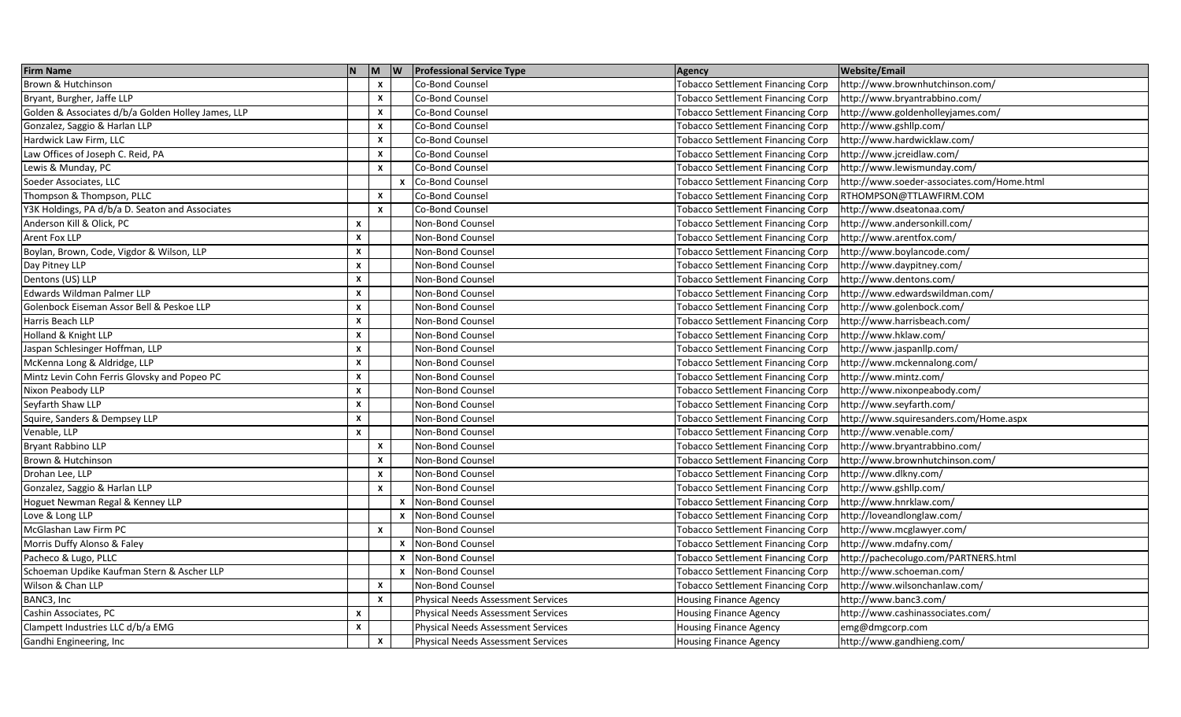| <b>Firm Name</b>                                   | N                  |              |              | M   W   Professional Service Type         | Agency                                   | <b>Website/Email</b>                       |
|----------------------------------------------------|--------------------|--------------|--------------|-------------------------------------------|------------------------------------------|--------------------------------------------|
| Brown & Hutchinson                                 |                    | $\mathsf{x}$ |              | Co-Bond Counsel                           | <b>Tobacco Settlement Financing Corp</b> | http://www.brownhutchinson.com/            |
| Bryant, Burgher, Jaffe LLP                         |                    | x            |              | Co-Bond Counsel                           | <b>Tobacco Settlement Financing Corp</b> | http://www.bryantrabbino.com/              |
| Golden & Associates d/b/a Golden Holley James, LLP |                    | x            |              | Co-Bond Counsel                           | <b>Tobacco Settlement Financing Corp</b> | http://www.goldenholleyjames.com/          |
| Gonzalez, Saggio & Harlan LLP                      |                    | X            |              | Co-Bond Counsel                           | Tobacco Settlement Financing Corp        | http://www.gshllp.com/                     |
| Hardwick Law Firm, LLC                             |                    | x            |              | Co-Bond Counsel                           | <b>Tobacco Settlement Financing Corp</b> | http://www.hardwicklaw.com/                |
| Law Offices of Joseph C. Reid, PA                  |                    | x            |              | Co-Bond Counsel                           | <b>Tobacco Settlement Financing Corp</b> | http://www.jcreidlaw.com/                  |
| Lewis & Munday, PC                                 |                    | x            |              | Co-Bond Counsel                           | <b>Tobacco Settlement Financing Corp</b> | http://www.lewismunday.com/                |
| Soeder Associates, LLC                             |                    |              |              | x Co-Bond Counsel                         | <b>Tobacco Settlement Financing Corp</b> | http://www.soeder-associates.com/Home.html |
| Thompson & Thompson, PLLC                          |                    | x            |              | Co-Bond Counsel                           | <b>Tobacco Settlement Financing Corp</b> | RTHOMPSON@TTLAWFIRM.COM                    |
| Y3K Holdings, PA d/b/a D. Seaton and Associates    |                    | x            |              | Co-Bond Counsel                           | <b>Tobacco Settlement Financing Corp</b> | http://www.dseatonaa.com/                  |
| Anderson Kill & Olick, PC                          | x                  |              |              | Non-Bond Counsel                          | <b>Tobacco Settlement Financing Corp</b> | http://www.andersonkill.com/               |
| Arent Fox LLP                                      | X                  |              |              | Non-Bond Counsel                          | <b>Tobacco Settlement Financing Corp</b> | http://www.arentfox.com/                   |
| Boylan, Brown, Code, Vigdor & Wilson, LLP          | X                  |              |              | Non-Bond Counsel                          | <b>Tobacco Settlement Financing Corp</b> | http://www.boylancode.com/                 |
| Day Pitney LLP                                     | X                  |              |              | Non-Bond Counsel                          | <b>Tobacco Settlement Financing Corp</b> | http://www.daypitney.com/                  |
| Dentons (US) LLP                                   | x                  |              |              | Non-Bond Counsel                          | <b>Tobacco Settlement Financing Corp</b> | http://www.dentons.com/                    |
| Edwards Wildman Palmer LLP                         | X                  |              |              | Non-Bond Counsel                          | <b>Tobacco Settlement Financing Corp</b> | http://www.edwardswildman.com/             |
| Golenbock Eiseman Assor Bell & Peskoe LLP          | X                  |              |              | Non-Bond Counsel                          | <b>Tobacco Settlement Financing Corp</b> | http://www.golenbock.com/                  |
| Harris Beach LLP                                   | $\pmb{\mathsf{x}}$ |              |              | Non-Bond Counsel                          | <b>Tobacco Settlement Financing Corp</b> | http://www.harrisbeach.com/                |
| Holland & Knight LLP                               | $\boldsymbol{x}$   |              |              | Non-Bond Counsel                          | <b>Tobacco Settlement Financing Corp</b> | http://www.hklaw.com/                      |
| Jaspan Schlesinger Hoffman, LLP                    | $\pmb{\mathsf{x}}$ |              |              | Non-Bond Counsel                          | <b>Tobacco Settlement Financing Corp</b> | http://www.jaspanllp.com/                  |
| McKenna Long & Aldridge, LLP                       | $\pmb{\mathsf{x}}$ |              |              | Non-Bond Counsel                          | <b>Tobacco Settlement Financing Corp</b> | http://www.mckennalong.com/                |
| Mintz Levin Cohn Ferris Glovsky and Popeo PC       | $\pmb{\mathsf{x}}$ |              |              | Non-Bond Counsel                          | Tobacco Settlement Financing Corp        | http://www.mintz.com/                      |
| Nixon Peabody LLP                                  | x                  |              |              | Non-Bond Counsel                          | <b>Tobacco Settlement Financing Corp</b> | http://www.nixonpeabody.com/               |
| Seyfarth Shaw LLP                                  | x                  |              |              | Non-Bond Counsel                          | <b>Tobacco Settlement Financing Corp</b> | http://www.seyfarth.com/                   |
| Squire, Sanders & Dempsey LLP                      | x                  |              |              | Non-Bond Counsel                          | <b>Tobacco Settlement Financing Corp</b> | http://www.squiresanders.com/Home.aspx     |
| Venable, LLP                                       | X                  |              |              | Non-Bond Counsel                          | <b>Tobacco Settlement Financing Corp</b> | http://www.venable.com/                    |
| <b>Bryant Rabbino LLP</b>                          |                    | $\mathsf{x}$ |              | Non-Bond Counsel                          | <b>Tobacco Settlement Financing Corp</b> | http://www.bryantrabbino.com/              |
| Brown & Hutchinson                                 |                    | X            |              | Non-Bond Counsel                          | <b>Tobacco Settlement Financing Corp</b> | http://www.brownhutchinson.com/            |
| Drohan Lee, LLP                                    |                    | x            |              | Non-Bond Counsel                          | <b>Tobacco Settlement Financing Corp</b> | http://www.dlkny.com/                      |
| Gonzalez, Saggio & Harlan LLP                      |                    | x            |              | Non-Bond Counsel                          | <b>Tobacco Settlement Financing Corp</b> | http://www.gshllp.com/                     |
| Hoguet Newman Regal & Kenney LLP                   |                    |              | x            | Non-Bond Counsel                          | <b>Tobacco Settlement Financing Corp</b> | http://www.hnrklaw.com/                    |
| Love & Long LLP                                    |                    |              | $\mathsf{x}$ | Non-Bond Counsel                          | <b>Tobacco Settlement Financing Corp</b> | http://loveandlonglaw.com/                 |
| McGlashan Law Firm PC                              |                    | X            |              | Non-Bond Counsel                          | <b>Tobacco Settlement Financing Corp</b> | http://www.mcglawyer.com/                  |
| Morris Duffy Alonso & Faley                        |                    |              |              | <b>x</b> Non-Bond Counsel                 | <b>Tobacco Settlement Financing Corp</b> | http://www.mdafny.com/                     |
| Pacheco & Lugo, PLLC                               |                    |              | $\mathsf{x}$ | Non-Bond Counsel                          | <b>Tobacco Settlement Financing Corp</b> | http://pachecolugo.com/PARTNERS.html       |
| Schoeman Updike Kaufman Stern & Ascher LLP         |                    |              |              | <b>x</b> Non-Bond Counsel                 | <b>Tobacco Settlement Financing Corp</b> | http://www.schoeman.com/                   |
| Wilson & Chan LLP                                  |                    | $\mathsf{x}$ |              | Non-Bond Counsel                          | <b>Tobacco Settlement Financing Corp</b> | http://www.wilsonchanlaw.com/              |
| BANC3, Inc                                         |                    | X            |              | <b>Physical Needs Assessment Services</b> | <b>Housing Finance Agency</b>            | http://www.banc3.com/                      |
| Cashin Associates, PC                              | X                  |              |              | <b>Physical Needs Assessment Services</b> | <b>Housing Finance Agency</b>            | http://www.cashinassociates.com/           |
| Clampett Industries LLC d/b/a EMG                  | x                  |              |              | <b>Physical Needs Assessment Services</b> | <b>Housing Finance Agency</b>            | emg@dmgcorp.com                            |
| Gandhi Engineering, Inc                            |                    | $\mathsf{x}$ |              | <b>Physical Needs Assessment Services</b> | <b>Housing Finance Agency</b>            | http://www.gandhieng.com/                  |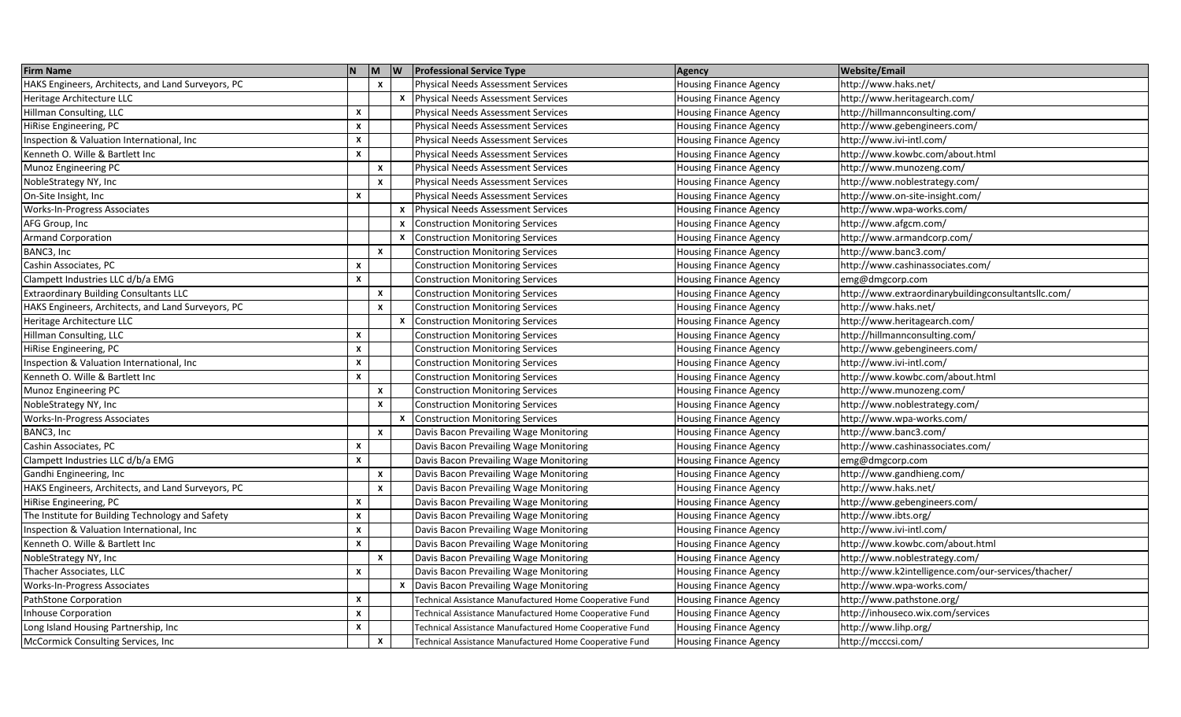| <b>Firm Name</b>                                   | N.                        |              |              | M W Professional Service Type                           | <b>Agency</b>                 | <b>Website/Email</b>                                |
|----------------------------------------------------|---------------------------|--------------|--------------|---------------------------------------------------------|-------------------------------|-----------------------------------------------------|
| HAKS Engineers, Architects, and Land Surveyors, PC |                           | $\mathbf{x}$ |              | <b>Physical Needs Assessment Services</b>               | <b>Housing Finance Agency</b> | http://www.haks.net/                                |
| Heritage Architecture LLC                          |                           |              | x            | <b>Physical Needs Assessment Services</b>               | <b>Housing Finance Agency</b> | http://www.heritagearch.com/                        |
| Hillman Consulting, LLC                            | $\boldsymbol{x}$          |              |              | Physical Needs Assessment Services                      | <b>Housing Finance Agency</b> | /http://hillmannconsulting.com/                     |
| HiRise Engineering, PC                             | $\mathsf{x}$              |              |              | <b>Physical Needs Assessment Services</b>               | <b>Housing Finance Agency</b> | http://www.gebengineers.com/                        |
| Inspection & Valuation International, Inc          | $\mathbf{x}$              |              |              | <b>Physical Needs Assessment Services</b>               | <b>Housing Finance Agency</b> | http://www.ivi-intl.com/                            |
| Kenneth O. Wille & Bartlett Inc                    | $\pmb{\mathsf{x}}$        |              |              | <b>Physical Needs Assessment Services</b>               | <b>Housing Finance Agency</b> | http://www.kowbc.com/about.html                     |
| Munoz Engineering PC                               |                           | x            |              | <b>Physical Needs Assessment Services</b>               | <b>Housing Finance Agency</b> | http://www.munozeng.com/                            |
| NobleStrategy NY, Inc                              |                           | $\mathsf{x}$ |              | <b>Physical Needs Assessment Services</b>               | <b>Housing Finance Agency</b> | http://www.noblestrategy.com/                       |
| On-Site Insight, Inc                               | $\boldsymbol{\mathsf{x}}$ |              |              | <b>Physical Needs Assessment Services</b>               | <b>Housing Finance Agency</b> | http://www.on-site-insight.com/                     |
| Works-In-Progress Associates                       |                           |              | $\mathsf{x}$ | <b>Physical Needs Assessment Services</b>               | <b>Housing Finance Agency</b> | http://www.wpa-works.com/                           |
| AFG Group, Inc                                     |                           |              | x            | <b>Construction Monitoring Services</b>                 | <b>Housing Finance Agency</b> | /ttp://www.afgcm.com                                |
| <b>Armand Corporation</b>                          |                           |              | $\mathsf{x}$ | <b>Construction Monitoring Services</b>                 | <b>Housing Finance Agency</b> | /http://www.armandcorp.com                          |
| BANC3, Inc                                         |                           | x            |              | <b>Construction Monitoring Services</b>                 | <b>Housing Finance Agency</b> | http://www.banc3.com/                               |
| Cashin Associates, PC                              | $\boldsymbol{\mathsf{x}}$ |              |              | <b>Construction Monitoring Services</b>                 | <b>Housing Finance Agency</b> | http://www.cashinassociates.com/                    |
| Clampett Industries LLC d/b/a EMG                  | $\mathbf{x}$              |              |              | <b>Construction Monitoring Services</b>                 | <b>Housing Finance Agency</b> | emg@dmgcorp.com                                     |
| <b>Extraordinary Building Consultants LLC</b>      |                           | X            |              | <b>Construction Monitoring Services</b>                 | <b>Housing Finance Agency</b> | http://www.extraordinarybuildingconsultantsllc.com/ |
| HAKS Engineers, Architects, and Land Surveyors, PC |                           | x            |              | <b>Construction Monitoring Services</b>                 | <b>Housing Finance Agency</b> | /1ttp://www.haks.net                                |
| Heritage Architecture LLC                          |                           |              | X            | <b>Construction Monitoring Services</b>                 | <b>Housing Finance Agency</b> | http://www.heritagearch.com/                        |
| Hillman Consulting, LLC                            | $\boldsymbol{x}$          |              |              | <b>Construction Monitoring Services</b>                 | <b>Housing Finance Agency</b> | http://hillmannconsulting.com/                      |
| <b>HiRise Engineering, PC</b>                      | $\mathbf{x}$              |              |              | <b>Construction Monitoring Services</b>                 | <b>Housing Finance Agency</b> | http://www.gebengineers.com/                        |
| Inspection & Valuation International, Inc          | X                         |              |              | <b>Construction Monitoring Services</b>                 | <b>Housing Finance Agency</b> | http://www.ivi-intl.com/                            |
| Kenneth O. Wille & Bartlett Inc                    | $\mathbf{x}$              |              |              | <b>Construction Monitoring Services</b>                 | <b>Housing Finance Agency</b> | http://www.kowbc.com/about.html                     |
| Munoz Engineering PC                               |                           | X            |              | <b>Construction Monitoring Services</b>                 | <b>Housing Finance Agency</b> | http://www.munozeng.com/                            |
| NobleStrategy NY, Inc                              |                           | $\mathbf{x}$ |              | <b>Construction Monitoring Services</b>                 | <b>Housing Finance Agency</b> | http://www.noblestrategy.com/                       |
| Works-In-Progress Associates                       |                           |              | x            | <b>Construction Monitoring Services</b>                 | <b>Housing Finance Agency</b> | http://www.wpa-works.com/                           |
| BANC3, Inc                                         |                           | $\mathsf{x}$ |              | Davis Bacon Prevailing Wage Monitoring                  | <b>Housing Finance Agency</b> | http://www.banc3.com/                               |
| Cashin Associates, PC                              | $\boldsymbol{\mathsf{x}}$ |              |              | Davis Bacon Prevailing Wage Monitoring                  | <b>Housing Finance Agency</b> | http://www.cashinassociates.com/                    |
| Clampett Industries LLC d/b/a EMG                  | $\boldsymbol{\mathsf{x}}$ |              |              | Davis Bacon Prevailing Wage Monitoring                  | <b>Housing Finance Agency</b> | emg@dmgcorp.com                                     |
| Gandhi Engineering, Inc                            |                           | $\mathbf{x}$ |              | Davis Bacon Prevailing Wage Monitoring                  | <b>Housing Finance Agency</b> | http://www.gandhieng.com/                           |
| HAKS Engineers, Architects, and Land Surveyors, PC |                           | X            |              | Davis Bacon Prevailing Wage Monitoring                  | <b>Housing Finance Agency</b> | http://www.haks.net/                                |
| HiRise Engineering, PC                             | $\mathbf{x}$              |              |              | Davis Bacon Prevailing Wage Monitoring                  | <b>Housing Finance Agency</b> | http://www.gebengineers.com/                        |
| The Institute for Building Technology and Safety   | $\mathbf{x}$              |              |              | Davis Bacon Prevailing Wage Monitoring                  | <b>Housing Finance Agency</b> | http://www.ibts.org/                                |
| Inspection & Valuation International, Inc.         | $\mathsf{x}$              |              |              | Davis Bacon Prevailing Wage Monitoring                  | <b>Housing Finance Agency</b> | http://www.ivi-intl.com/                            |
| Kenneth O. Wille & Bartlett Inc                    | $\boldsymbol{\mathsf{x}}$ |              |              | Davis Bacon Prevailing Wage Monitoring                  | <b>Housing Finance Agency</b> | http://www.kowbc.com/about.html                     |
| NobleStrategy NY, Inc                              |                           | x            |              | Davis Bacon Prevailing Wage Monitoring                  | <b>Housing Finance Agency</b> | http://www.noblestrategy.com/                       |
| Thacher Associates, LLC                            | $\boldsymbol{x}$          |              |              | Davis Bacon Prevailing Wage Monitoring                  | <b>Housing Finance Agency</b> | http://www.k2intelligence.com/our-services/thacher/ |
| Works-In-Progress Associates                       |                           |              |              | Davis Bacon Prevailing Wage Monitoring                  | <b>Housing Finance Agency</b> | http://www.wpa-works.com/                           |
| PathStone Corporation                              | $\mathsf{x}$              |              |              | Technical Assistance Manufactured Home Cooperative Fund | <b>Housing Finance Agency</b> | http://www.pathstone.org/                           |
| <b>Inhouse Corporation</b>                         | $\mathsf{x}$              |              |              | Technical Assistance Manufactured Home Cooperative Fund | <b>Housing Finance Agency</b> | nttp://inhouseco.wix.com/services                   |
| Long Island Housing Partnership, Inc.              | $\mathsf{x}$              |              |              | Technical Assistance Manufactured Home Cooperative Fund | Housing Finance Agency        | /1ttp://www.lihp.org/                               |
| McCormick Consulting Services, Inc                 |                           | x            |              | Technical Assistance Manufactured Home Cooperative Fund | <b>Housing Finance Agency</b> | http://mcccsi.com/                                  |